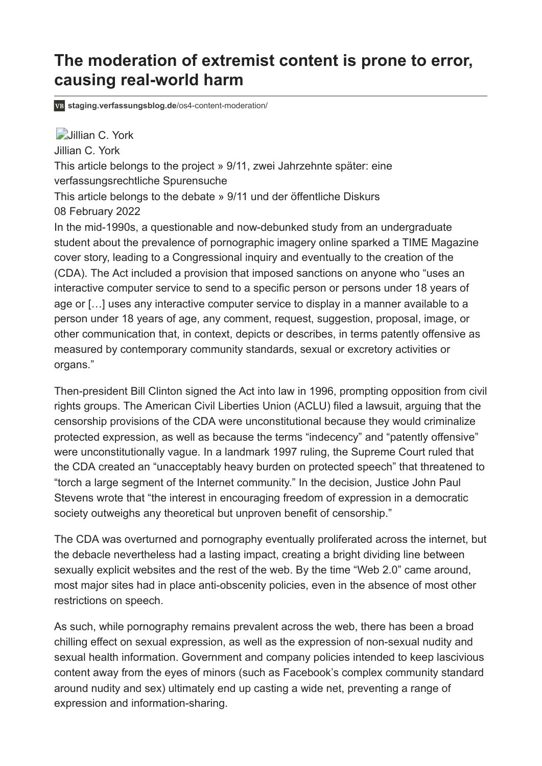# **The moderation of extremist content is prone to error, causing real-world harm**

**[staging.verfassungsblog.de](https://staging.verfassungsblog.de/os4-content-moderation/)**/os4-content-moderation/

**[Jillian C. York](https://staging.verfassungsblog.de/author/jillian-c-york/)** 

[Jillian C. York](https://staging.verfassungsblog.de/author/jillian-c-york/)

[This article belongs to the project » 9/11, zwei Jahrzehnte später: eine](https://staging.verfassungsblog.de/project/911/) verfassungsrechtliche Spurensuche

This article belongs to the debate » [9/11 und der öffentliche Diskurs](https://staging.verfassungsblog.de/category/debates/os4-9-11/) 08 February 2022

In the mid-1990s, a questionable and now-debunked study from an undergraduate student about the prevalence of pornographic imagery online sparked a TIME Magazine cover story, leading to a Congressional inquiry and eventually to the creation of the (CDA). The Act included a provision that imposed sanctions on anyone who "uses an interactive computer service to send to a specific person or persons under 18 years of age or […] uses any interactive computer service to display in a manner available to a person under 18 years of age, any comment, request, suggestion, proposal, image, or other communication that, in context, depicts or describes, in terms patently offensive as measured by contemporary community standards, sexual or excretory activities or organs."

Then-president Bill Clinton signed the Act into law in 1996, prompting opposition from civil rights groups. The American Civil Liberties Union (ACLU) filed a lawsuit, [arguing](https://www.aclu.org/cases/reno-v-aclu-challenge-censorship-provisions-communications-decency-act) that the censorship provisions of the CDA were unconstitutional because they would criminalize protected expression, as well as because the terms "indecency" and "patently offensive" were unconstitutionally vague. In a landmark 1997 ruling, the Supreme Court ruled that the CDA created an "unacceptably heavy burden on protected speech" that threatened to "torch a large segment of the Internet community." In the decision, Justice John Paul Stevens wrote that "the interest in encouraging freedom of expression in a democratic society outweighs any theoretical but unproven benefit of censorship."

The CDA was overturned and pornography eventually proliferated across the internet, but the debacle nevertheless had a lasting impact, creating a bright dividing line between sexually explicit websites and the rest of the web. By the time "Web 2.0" came around, most major sites had in place anti-obscenity policies, even in the absence of most other restrictions on speech.

As such, while pornography remains prevalent across the web, there has been a broad chilling effect on sexual expression, as well as the expression of non-sexual nudity and sexual health information. Government and company policies intended to keep lascivious content away from the eyes of minors (such as Facebook's complex community standard around nudity and sex) ultimately [end up casting a wide net](https://www.apc.org/sites/default/files/EroTICsBriefingEN_0.pdf), preventing a range of expression and information-sharing.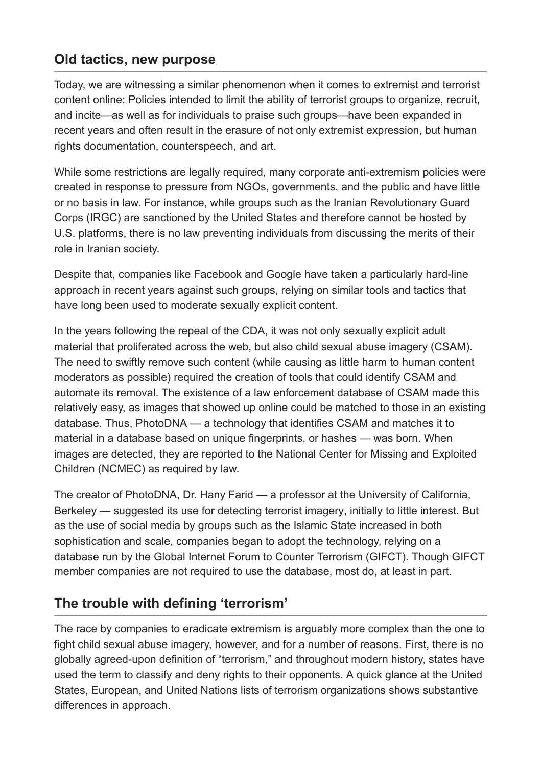### **Old tactics, new purpose**

Today, we are witnessing a similar phenomenon when it comes to extremist and terrorist content online: Policies intended to limit the ability of terrorist groups to organize, recruit, and incite—as well as for individuals to praise such groups—have been expanded in recent years and often result in the [erasure of not only extremist expression,](https://www.eff.org/wp/caught-net-impact-extremist-speech-regulations-human-rights-content) but human rights documentation, counterspeech, and art.

While some restrictions are legally required, many corporate anti-extremism policies were created in response to pressure from NGOs, governments, and the public and have little or no basis in law. For instance, while groups such as the Iranian Revolutionary Guard Corps (IRGC) are sanctioned by the United States and therefore cannot be hosted by U.S. platforms, there is no law preventing individuals from discussing the merits of their role in Iranian society.

Despite that, companies like Facebook and Google have taken a particularly hard-line approach in recent years against such groups, relying on similar tools and tactics that have long been used to moderate sexually explicit content.

In the years following the repeal of the CDA, it was not only sexually explicit adult material that proliferated across the web, but also child sexual abuse imagery (CSAM). The need to swiftly remove such content (while causing as little harm to human content moderators as possible) required the creation of tools that could identify CSAM and automate its removal. The existence of a law enforcement database of CSAM made this relatively easy, as images that showed up online could be matched to those in an existing database. Thus, [PhotoDNA](https://www.microsoft.com/en-us/photodna) — a technology that identifies CSAM and matches it to material in a database based on unique fingerprints, or hashes — was born. When images are detected, [they are reported](https://www.theguardian.com/technology/2014/aug/07/microsoft-tip-police-child-abuse-images-paedophile) to the National Center for Missing and Exploited Children (NCMEC) as required by law.

The creator of PhotoDNA, Dr. Hany Farid — a professor at the University of California, Berkeley — [suggested its use for detecting terrorist imagery,](https://www.sciencefriday.com/segments/theres-an-algorithm-to-fight-online-extremism/) initially to little interest. But as the use of social media by groups such as the Islamic State increased in both sophistication and scale, companies began to adopt the technology, relying on a database run by the Global Internet Forum to Counter Terrorism (GIFCT). Though GIFCT member companies are not required to use the database, most do, at least in part.

## **The trouble with defining 'terrorism'**

The race by companies to eradicate extremism is arguably more complex than the one to fight child sexual abuse imagery, however, and for a number of reasons. First, there is no globally agreed-upon definition of "terrorism," and throughout modern history, states have used the term to classify and deny rights to their opponents. A quick glance at the United States, European, and United Nations lists of terrorism organizations shows substantive differences in approach.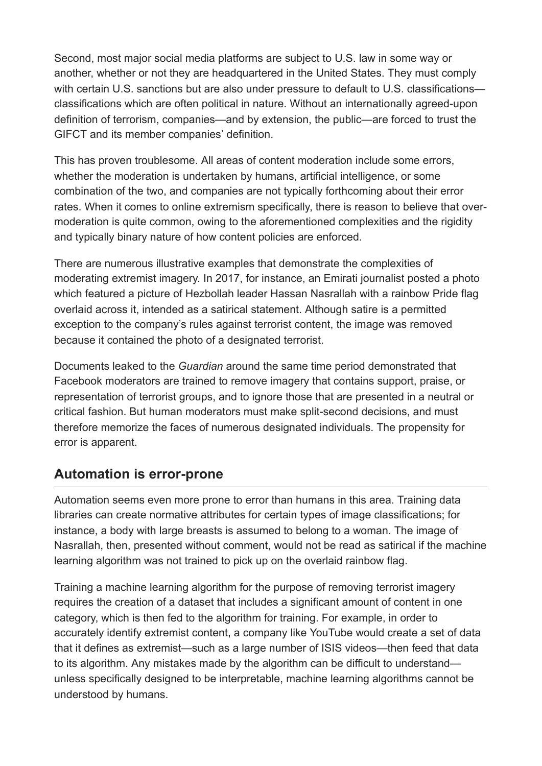Second, most major social media platforms are subject to U.S. law in some way or another, whether or not they are headquartered in the United States. They must comply with certain U.S. sanctions but are also under pressure to default to U.S. classifications classifications which are often political in nature. Without an internationally agreed-upon definition of terrorism, companies—and by extension, the public—are forced to trust the GIFCT and its member companies' definition.

This has proven troublesome. All areas of content moderation include some errors, whether the moderation is undertaken by humans, artificial intelligence, or some combination of the two, and companies are not typically forthcoming about their error rates. When it comes to online extremism specifically, there is reason to believe that overmoderation is quite common, owing to the aforementioned complexities and the rigidity and typically binary nature of how content policies are enforced.

There are numerous illustrative examples that demonstrate the complexities of moderating extremist imagery. In 2017, for instance, an Emirati journalist posted a photo which featured a picture of Hezbollah leader Hassan Nasrallah with a rainbow Pride flag overlaid across it, intended as a satirical statement. Although satire is a permitted exception to the company's rules against terrorist content, the image was removed because it contained the photo of a designated terrorist.

Documents leaked to the *Guardian* around the same time period [demonstrated](https://www.theguardian.com/news/gallery/2017/may/24/how-facebook-guides-moderators-on-terrorist-content) that Facebook moderators are trained to remove imagery that contains support, praise, or representation of terrorist groups, and to ignore those that are presented in a neutral or critical fashion. But human moderators must make split-second decisions, and must therefore memorize the faces of numerous designated individuals. The propensity for error is apparent.

### **Automation is error-prone**

Automation seems even more prone to error than humans in this area. Training data libraries can create normative attributes for certain types of image classifications; for instance, a body with large breasts is assumed to belong to a woman. The image of Nasrallah, then, presented without comment, would not be read as satirical if the machine learning algorithm was not trained to pick up on the overlaid rainbow flag.

Training a machine learning algorithm for the purpose of removing terrorist imagery requires the creation of a dataset that includes a significant amount of content in one category, which is then fed to the algorithm for training. For example, in order to accurately identify extremist content, a company like YouTube would create a set of data that it defines as extremist—such as a large number of ISIS videos—then feed that data to its algorithm. Any mistakes made by the algorithm can be difficult to understand unless specifically designed to be interpretable, machine learning algorithms cannot be understood by humans.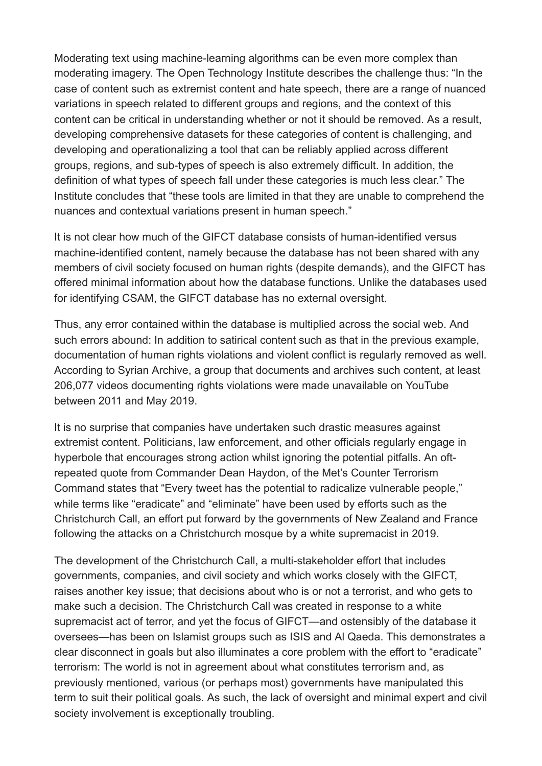Moderating text using machine-learning algorithms can be even more complex than moderating imagery. The Open Technology Institute describes the challenge thus: "In the case of content such as extremist content and hate speech, there are a range of nuanced variations in speech related to different groups and regions, and the context of this content can be critical in understanding whether or not it should be removed. As a result, developing comprehensive datasets for these categories of content is challenging, and developing and operationalizing a tool that can be reliably applied across different groups, regions, and sub-types of speech is also extremely difficult. In addition, the definition of what types of speech fall under these categories is much less clear." The Institute [concludes that](http://newamerica.org/oti/reports/everything-moderation-analysis-how-internet-platforms-are-using-artificial-intelligence-moderate-user-generated-content) "these tools are limited in that they are unable to comprehend the nuances and contextual variations present in human speech."

It is not clear how much of the GIFCT database consists of human-identified versus machine-identified content, namely because the database has not been shared with any members of civil society focused on human rights (despite demands), and the GIFCT has offered minimal information about how the database functions. Unlike the databases used for identifying CSAM, the GIFCT database has no external oversight.

Thus, any error contained within the database is multiplied across the social web. And such errors abound: In addition to satirical content such as that in the previous example, documentation of human rights violations and violent conflict is regularly removed as well. According to Syrian Archive, a group that documents and archives such content, at least 206,077 videos documenting rights violations [were made unavailable](https://www.eff.org/wp/caught-net-impact-extremist-speech-regulations-human-rights-content) on YouTube between 2011 and May 2019.

It is no surprise that companies have undertaken such drastic measures against extremist content. Politicians, law enforcement, and other officials regularly engage in hyperbole that encourages strong action whilst ignoring the potential pitfalls. An oftrepeated quote from Commander Dean Haydon, of the Met's Counter Terrorism Command [states that](https://www.arabnews.com/node/1246631/world?page=3) "Every tweet has the potential to radicalize vulnerable people," while terms like "eradicate" and "eliminate" have been used by efforts such as the [Christchurch Call,](https://www.christchurchcall.com/) an effort put forward by the governments of New Zealand and France following the attacks on a Christchurch mosque by a white supremacist in 2019.

The development of the Christchurch Call, a multi-stakeholder effort that includes governments, companies, and civil society and which works closely with the GIFCT, raises another key issue; that decisions about who is or not a terrorist, and who gets to make such a decision. The Christchurch Call was created in response to a white supremacist act of terror, and yet the focus of GIFCT—and ostensibly of the database it oversees—has been on Islamist groups such as ISIS and Al Qaeda. This demonstrates a clear disconnect in goals but also illuminates a core problem with the effort to "eradicate" terrorism: The world is not in agreement about what constitutes terrorism and, as previously mentioned, various (or perhaps most) governments have manipulated this term to suit their political goals. As such, the lack of oversight and minimal expert and civil society involvement is exceptionally troubling.